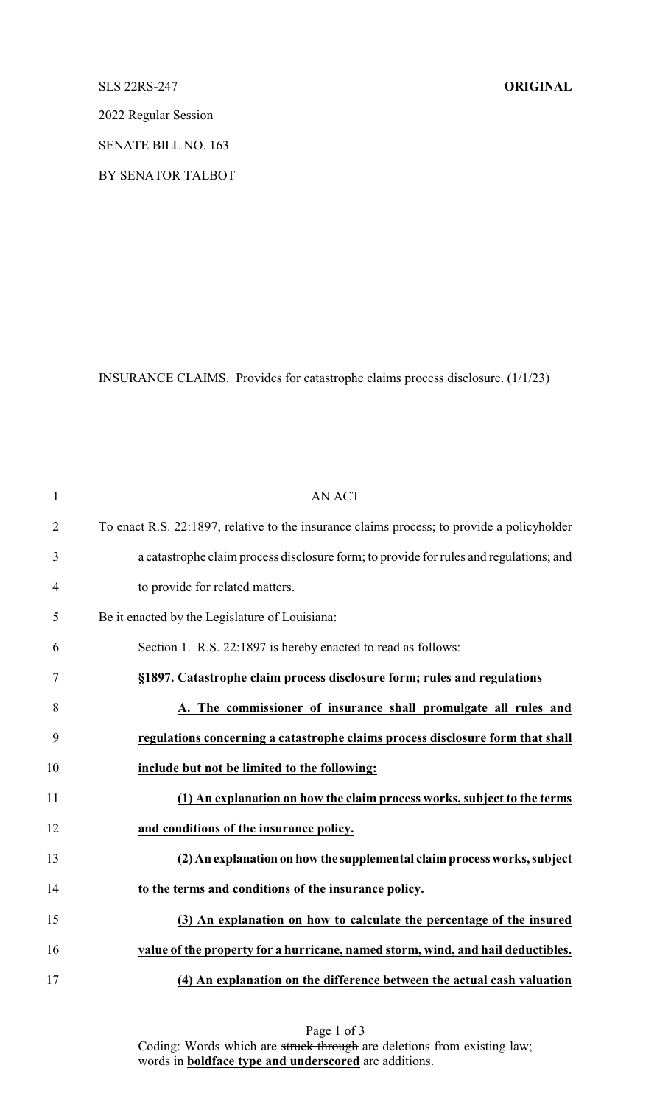## SLS 22RS-247 **ORIGINAL**

2022 Regular Session

SENATE BILL NO. 163

BY SENATOR TALBOT

INSURANCE CLAIMS. Provides for catastrophe claims process disclosure. (1/1/23)

| $\mathbf{1}$   | <b>AN ACT</b>                                                                              |
|----------------|--------------------------------------------------------------------------------------------|
| $\overline{2}$ | To enact R.S. 22:1897, relative to the insurance claims process; to provide a policyholder |
| $\mathfrak{Z}$ | a catastrophe claim process disclosure form; to provide for rules and regulations; and     |
| $\overline{4}$ | to provide for related matters.                                                            |
| 5              | Be it enacted by the Legislature of Louisiana:                                             |
| 6              | Section 1. R.S. 22:1897 is hereby enacted to read as follows:                              |
| $\tau$         | §1897. Catastrophe claim process disclosure form; rules and regulations                    |
| 8              | A. The commissioner of insurance shall promulgate all rules and                            |
| 9              | regulations concerning a catastrophe claims process disclosure form that shall             |
| 10             | include but not be limited to the following:                                               |
| 11             | (1) An explanation on how the claim process works, subject to the terms                    |
| 12             | and conditions of the insurance policy.                                                    |
| 13             | (2) An explanation on how the supplemental claim process works, subject                    |
| 14             | to the terms and conditions of the insurance policy.                                       |
| 15             | (3) An explanation on how to calculate the percentage of the insured                       |
| 16             | value of the property for a hurricane, named storm, wind, and hail deductibles.            |
| 17             | (4) An explanation on the difference between the actual cash valuation                     |

Page 1 of 3 Coding: Words which are struck through are deletions from existing law; words in **boldface type and underscored** are additions.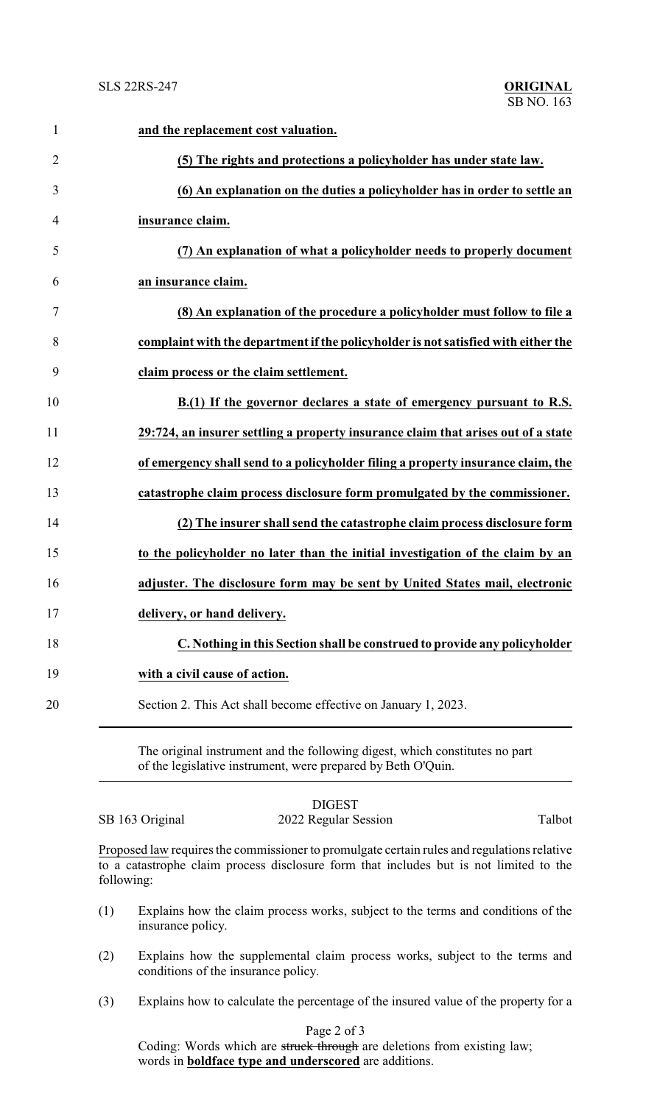| $\mathbf{1}$   | and the replacement cost valuation.                                                |
|----------------|------------------------------------------------------------------------------------|
| $\overline{2}$ | (5) The rights and protections a policyholder has under state law.                 |
| 3              | (6) An explanation on the duties a policyholder has in order to settle an          |
| 4              | insurance claim.                                                                   |
| 5              | (7) An explanation of what a policyholder needs to properly document               |
| 6              | an insurance claim.                                                                |
| 7              | (8) An explanation of the procedure a policyholder must follow to file a           |
| 8              | complaint with the department if the policyholder is not satisfied with either the |
| 9              | claim process or the claim settlement.                                             |
| 10             | B.(1) If the governor declares a state of emergency pursuant to R.S.               |
| 11             | 29:724, an insurer settling a property insurance claim that arises out of a state  |
| 12             | of emergency shall send to a policyholder filing a property insurance claim, the   |
| 13             | catastrophe claim process disclosure form promulgated by the commissioner.         |
| 14             | (2) The insurer shall send the catastrophe claim process disclosure form           |
| 15             | to the policyholder no later than the initial investigation of the claim by an     |
| 16             | adjuster. The disclosure form may be sent by United States mail, electronic        |
| 17             | delivery, or hand delivery.                                                        |
| 18             | C. Nothing in this Section shall be construed to provide any policyholder          |
| 19             | with a civil cause of action.                                                      |
| 20             | Section 2. This Act shall become effective on January 1, 2023.                     |
|                |                                                                                    |

The original instrument and the following digest, which constitutes no part of the legislative instrument, were prepared by Beth O'Quin.

SB 163 Original 2022 Regular Session Talbot

DIGEST

Proposed law requires the commissioner to promulgate certain rules and regulations relative to a catastrophe claim process disclosure form that includes but is not limited to the following:

- (1) Explains how the claim process works, subject to the terms and conditions of the insurance policy.
- (2) Explains how the supplemental claim process works, subject to the terms and conditions of the insurance policy.
- (3) Explains how to calculate the percentage of the insured value of the property for a

Page 2 of 3

Coding: Words which are struck through are deletions from existing law; words in **boldface type and underscored** are additions.